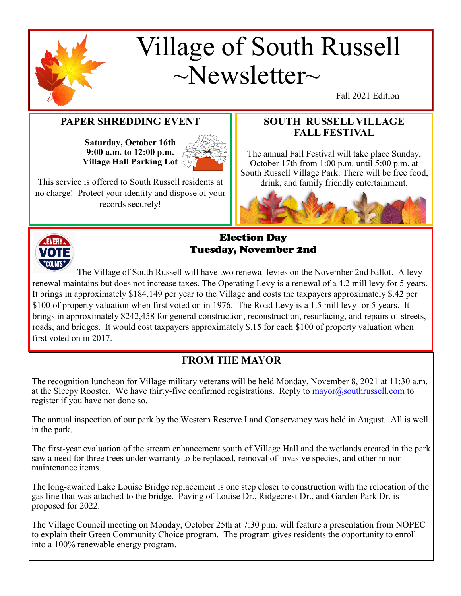

## Village of South Russell  $\sim$ Newsletter $\sim$

Fall 2021 Edition

#### **PAPER SHREDDING EVENT**

**Saturday, October 16th 9:00 a.m. to 12:00 p.m. Village Hall Parking Lot**



This service is offered to South Russell residents at no charge! Protect your identity and dispose of your records securely!

#### **SOUTH RUSSELL VILLAGE FALL FESTIVAL**

The annual Fall Festival will take place Sunday, October 17th from 1:00 p.m. until 5:00 p.m. at South Russell Village Park. There will be free food, drink, and family friendly entertainment.





#### Election Day Tuesday, November 2nd

The Village of South Russell will have two renewal levies on the November 2nd ballot. A levy renewal maintains but does not increase taxes. The Operating Levy is a renewal of a 4.2 mill levy for 5 years. It brings in approximately \$184,149 per year to the Village and costs the taxpayers approximately \$.42 per \$100 of property valuation when first voted on in 1976. The Road Levy is a 1.5 mill levy for 5 years. It brings in approximately \$242,458 for general construction, reconstruction, resurfacing, and repairs of streets, roads, and bridges. It would cost taxpayers approximately \$.15 for each \$100 of property valuation when first voted on in 2017.

#### **FROM THE MAYOR**

The recognition luncheon for Village military veterans will be held Monday, November 8, 2021 at 11:30 a.m. at the Sleepy Rooster. We have thirty-five confirmed registrations. Reply to  $\text{mayor}(\partial s \text{outhrussell.com}$  to register if you have not done so.

The annual inspection of our park by the Western Reserve Land Conservancy was held in August. All is well in the park.

The first-year evaluation of the stream enhancement south of Village Hall and the wetlands created in the park saw a need for three trees under warranty to be replaced, removal of invasive species, and other minor maintenance items.

The long-awaited Lake Louise Bridge replacement is one step closer to construction with the relocation of the gas line that was attached to the bridge. Paving of Louise Dr., Ridgecrest Dr., and Garden Park Dr. is proposed for 2022.

The Village Council meeting on Monday, October 25th at 7:30 p.m. will feature a presentation from NOPEC to explain their Green Community Choice program. The program gives residents the opportunity to enroll into a 100% renewable energy program.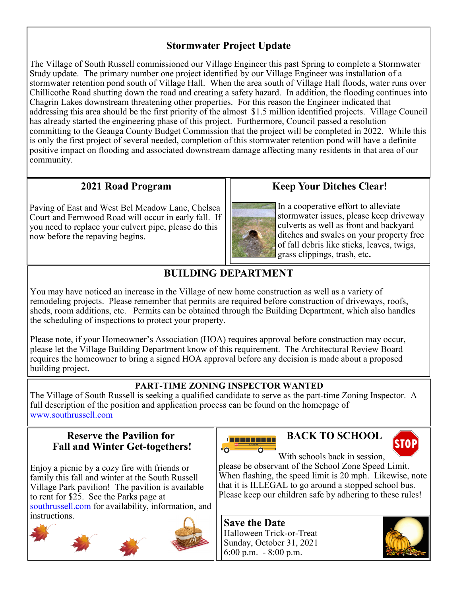#### **Stormwater Project Update**

The Village of South Russell commissioned our Village Engineer this past Spring to complete a Stormwater Study update. The primary number one project identified by our Village Engineer was installation of a stormwater retention pond south of Village Hall. When the area south of Village Hall floods, water runs over Chillicothe Road shutting down the road and creating a safety hazard. In addition, the flooding continues into Chagrin Lakes downstream threatening other properties. For this reason the Engineer indicated that addressing this area should be the first priority of the almost \$1.5 million identified projects. Village Council has already started the engineering phase of this project. Furthermore, Council passed a resolution committing to the Geauga County Budget Commission that the project will be completed in 2022. While this is only the first project of several needed, completion of this stormwater retention pond will have a definite positive impact on flooding and associated downstream damage affecting many residents in that area of our community.

#### **2021 Road Program**

Paving of East and West Bel Meadow Lane, Chelsea Court and Fernwood Road will occur in early fall. If you need to replace your culvert pipe, please do this now before the repaving begins.

**Keep Your Ditches Clear!**

In a cooperative effort to alleviate stormwater issues, please keep driveway culverts as well as front and backyard ditches and swales on your property free of fall debris like sticks, leaves, twigs, grass clippings, trash, etc**.** 

### **BUILDING DEPARTMENT**

You may have noticed an increase in the Village of new home construction as well as a variety of remodeling projects. Please remember that permits are required before construction of driveways, roofs, sheds, room additions, etc. Permits can be obtained through the Building Department, which also handles the scheduling of inspections to protect your property.

Please note, if your Homeowner's Association (HOA) requires approval before construction may occur, please let the Village Building Department know of this requirement. The Architectural Review Board requires the homeowner to bring a signed HOA approval before any decision is made about a proposed building project.

#### **PART-TIME ZONING INSPECTOR WANTED**

The Village of South Russell is seeking a qualified candidate to serve as the part-time Zoning Inspector. A full description of the position and application process can be found on the homepage of www.southrussell.com

#### **Reserve the Pavilion for Fall and Winter Get-togethers!**

Enjoy a picnic by a cozy fire with friends or family this fall and winter at the South Russell Village Park pavilion! The pavilion is available to rent for \$25. See the Parks page at southrussell.com for availability, information, and instructions.





#### **BACK TO SCHOOL**



With schools back in session. please be observant of the School Zone Speed Limit. When flashing, the speed limit is 20 mph. Likewise, note that it is ILLEGAL to go around a stopped school bus. Please keep our children safe by adhering to these rules!

**Save the Date** Halloween Trick-or-Treat Sunday, October 31, 2021 6:00 p.m. - 8:00 p.m.

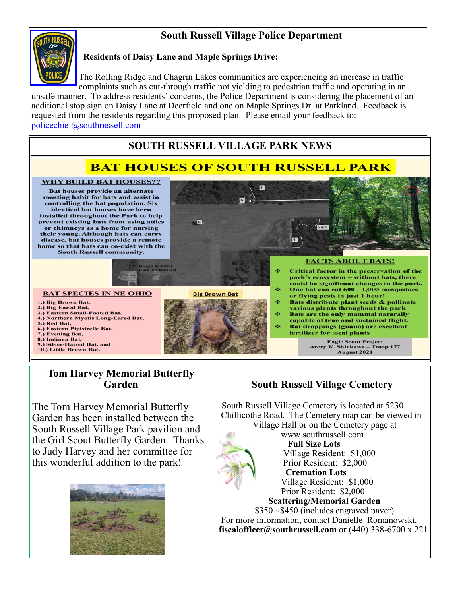#### **South Russell Village Police Department**



#### **Residents of Daisy Lane and Maple Springs Drive:**

The Rolling Ridge and Chagrin Lakes communities are experiencing an increase in traffic complaints such as cut-through traffic not yielding to pedestrian traffic and operating in an unsafe manner. To address residents' concerns, the Police Department is considering the placement of an additional stop sign on Daisy Lane at Deerfield and one on Maple Springs Dr. at Parkland. Feedback is requested from the residents regarding this proposed plan. Please email your feedback to: policechief@southrussell.com

#### **SOUTH RUSSELL VILLAGE PARK NEWS**

#### **BAT HOUSES OF SOUTH RUSSELL PARK**

 $\overline{4}$ 

÷

d.

#### **WHY BUILD BAT HOUSES??**

Bat houses provide an alternate roosting habit for bats and assist in controlling the bat population. Six identical bat houses have been installed throughout the Park to help prevent existing bats from using attics or chimneys as a home for nursing their young. Although bats can carry disease, bat houses provide a remote home so that bats can co-exist with the **South Russell community.** 



- 2.) Big-Eared Bat,
- 3.) Eastern Small-Footed Bat. 4.) Northern Myotis Long-Eared Bat,

**BAT SPECIES IN NE OHIO** 

- 
- 5.) Red Bat,<br>6.) Eastern Pipistrelle Bat,
- 7.) Evening Bat,
- 8.) Indiana Bat,<br>9.) Silver-Haired Bat, and
- 10.) Little-Brown Bat

# **Big Brown Bat**

 $\overline{\phantom{a}}$  6

#### **FACTS ABOUT BATS! Critical factor in the preservation of the** park's ecosystem - without bats, there could be significant changes in the park. One bat can eat 600 - 1,000 mosquitoes or flying pests in just 1 hour!

- ÷ Bats distribute plant seeds & pollinate various plants throughout the park ÷ **Bats are the only mammal naturally**
- capable of true and sustained flight. ó, Bat droppings (guano) are excellent fertilizer for local plants

**Eagle Scout Project** Avery K. Shinkawa - Troop 177 August 2021

#### **Tom Harvey Memorial Butterfly Garden**

The Tom Harvey Memorial Butterfly Garden has been installed between the South Russell Village Park pavilion and the Girl Scout Butterfly Garden. Thanks to Judy Harvey and her committee for this wonderful addition to the park!



#### **South Russell Village Cemetery**

 $283$ 

 South Russell Village Cemetery is located at 5230 Chillicothe Road. The Cemetery map can be viewed in Village Hall or on the Cemetery page at



 www.southrussell.com **Full Size Lots** Village Resident: \$1,000 Prior Resident: \$2,000  **Cremation Lots** Village Resident: \$1,000 Prior Resident: \$2,000  **Scattering/Memorial Garden** \$350 ~\$450 (includes engraved paver)

 For more information, contact Danielle Romanowski, **fiscalofficer@southrussell.com** or (440) 338-6700 x 221